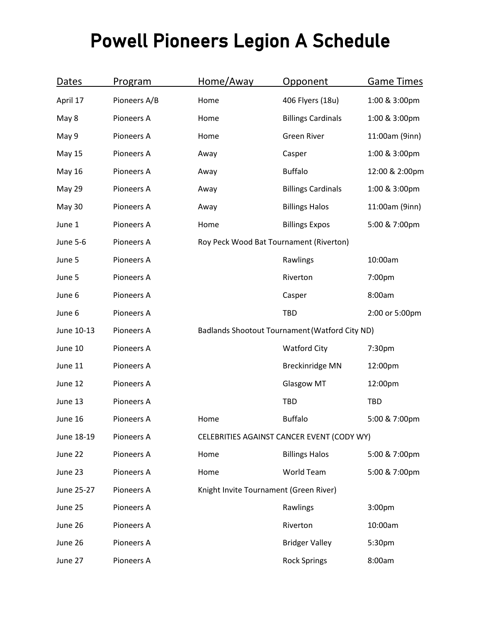## Powell Pioneers Legion A Schedule

| Dates           | Program      | Home/Away | Opponent                                       | <b>Game Times</b> |  |
|-----------------|--------------|-----------|------------------------------------------------|-------------------|--|
| April 17        | Pioneers A/B | Home      | 406 Flyers (18u)                               | 1:00 & 3:00pm     |  |
| May 8           | Pioneers A   | Home      | <b>Billings Cardinals</b>                      | 1:00 & 3:00pm     |  |
| May 9           | Pioneers A   | Home      | <b>Green River</b>                             | 11:00am (9inn)    |  |
| <b>May 15</b>   | Pioneers A   | Away      | Casper                                         | 1:00 & 3:00pm     |  |
| May 16          | Pioneers A   | Away      | <b>Buffalo</b>                                 | 12:00 & 2:00pm    |  |
| <b>May 29</b>   | Pioneers A   | Away      | <b>Billings Cardinals</b>                      | 1:00 & 3:00pm     |  |
| <b>May 30</b>   | Pioneers A   | Away      | <b>Billings Halos</b>                          | 11:00am (9inn)    |  |
| June 1          | Pioneers A   | Home      | <b>Billings Expos</b>                          | 5:00 & 7:00pm     |  |
| <b>June 5-6</b> | Pioneers A   |           | Roy Peck Wood Bat Tournament (Riverton)        |                   |  |
| June 5          | Pioneers A   |           | Rawlings                                       | 10:00am           |  |
| June 5          | Pioneers A   |           | Riverton                                       | 7:00pm            |  |
| June 6          | Pioneers A   |           | Casper                                         | 8:00am            |  |
| June 6          | Pioneers A   |           | <b>TBD</b>                                     | 2:00 or 5:00pm    |  |
| June 10-13      | Pioneers A   |           | Badlands Shootout Tournament (Watford City ND) |                   |  |
| June 10         | Pioneers A   |           | <b>Watford City</b>                            | 7:30pm            |  |
| June 11         | Pioneers A   |           | <b>Breckinridge MN</b>                         | 12:00pm           |  |
| June 12         | Pioneers A   |           | <b>Glasgow MT</b>                              | 12:00pm           |  |
| June 13         | Pioneers A   |           | <b>TBD</b>                                     | TBD               |  |
| June 16         | Pioneers A   | Home      | <b>Buffalo</b>                                 | 5:00 & 7:00pm     |  |
| June 18-19      | Pioneers A   |           | CELEBRITIES AGAINST CANCER EVENT (CODY WY)     |                   |  |
| June 22         | Pioneers A   | Home      | <b>Billings Halos</b>                          | 5:00 & 7:00pm     |  |
| June 23         | Pioneers A   | Home      | World Team                                     | 5:00 & 7:00pm     |  |
| June 25-27      | Pioneers A   |           | Knight Invite Tournament (Green River)         |                   |  |
| June 25         | Pioneers A   |           | Rawlings                                       | 3:00pm            |  |
| June 26         | Pioneers A   |           | Riverton                                       | 10:00am           |  |
| June 26         | Pioneers A   |           | <b>Bridger Valley</b>                          | 5:30pm            |  |
| June 27         | Pioneers A   |           | <b>Rock Springs</b>                            | 8:00am            |  |